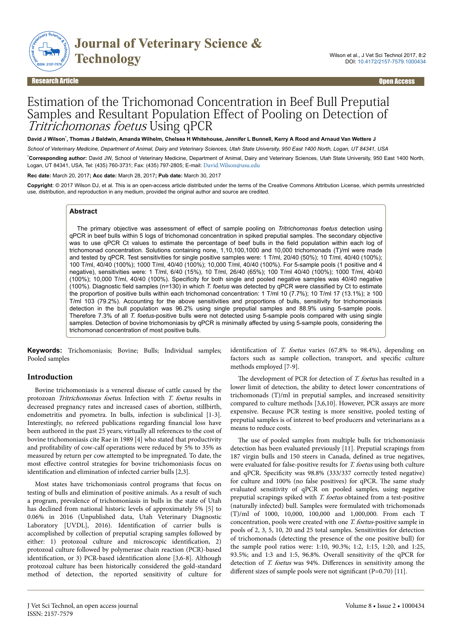

Research Article Open Access

# Estimation of the Trichomonad Concentration in Beef Bull Preputial Samples and Resultant Population Effect of Pooling on Detection of Tritrichomonas foetus Using qPCR

**David J Wilson**\* **, Thomas J Baldwin, Amanda Wilhelm, Chelsea H Whitehouse, Jennifer L Bunnell, Kerry A Rood and Arnaud Van Wettere J**

*School of Veterinary Medicine, Department of Animal, Dairy and Veterinary Sciences, Utah State University, 950 East 1400 North, Logan, UT 84341, USA*

\***Corresponding author:** David JW, School of Veterinary Medicine, Department of Animal, Dairy and Veterinary Sciences, Utah State University, 950 East 1400 North, Logan, UT 84341, USA, Tel: (435) 760-3731; Fax: (435) 797-2805; E-mail: [David.Wilson@usu.edu](mailto:David.Wilson@usu.edu)

**Rec date:** March 20, 2017**; Acc date:** March 28, 2017**; Pub date:** March 30, 2017

**Copyright**: © 2017 Wilson DJ, et al. This is an open-access article distributed under the terms of the Creative Commons Attribution License, which permits unrestricted use, distribution, and reproduction in any medium, provided the original author and source are credited.

#### **Abstract**

The primary objective was assessment of effect of sample pooling on *Tritrichomonas foetus* detection using qPCR in beef bulls within 5 logs of trichomonad concentration in spiked preputial samples. The secondary objective was to use qPCR Ct values to estimate the percentage of beef bulls in the field population within each log of trichomonad concentration. Solutions containing none, 1,10,100,1000 and 10,000 trichomonads (T)/ml were made and tested by qPCR. Test sensitivities for single positive samples were: 1 T/ml, 20/40 (50%); 10 T/ml, 40/40 (100%); 100 T/ml, 40/40 (100%); 1000 T/ml, 40/40 (100%); 10,000 T/ml, 40/40 (100%). For 5-sample pools (1 positive and 4 negative), sensitivities were: 1 T/ml, 6/40 (15%), 10 T/ml, 26/40 (65%); 100 T/ml 40/40 (100%); 1000 T/ml, 40/40 (100%); 10,000 T/ml, 40/40 (100%). Specificity for both single and pooled negative samples was 40/40 negative (100%). Diagnostic field samples (n=130) in which *T. foetus* was detected by qPCR were classified by Ct to estimate the proportion of positive bulls within each trichomonad concentration: 1 T/ml 10 (7.7%); 10 T/ml 17 (13.1%); ≥ 100 T/ml 103 (79.2%). Accounting for the above sensitivities and proportions of bulls, sensitivity for trichomoniasis detection in the bull population was 96.2% using single preputial samples and 88.9% using 5-sample pools. Therefore 7.3% of all *T. foetus*-positive bulls were not detected using 5-sample pools compared with using single samples. Detection of bovine trichomoniasis by qPCR is minimally affected by using 5-sample pools, considering the trichomonad concentration of most positive bulls.

**Keywords:** Trichomoniasis; Bovine; Bulls; Individual samples; Pooled samples

# **Introduction**

Bovine trichomoniasis is a venereal disease of cattle caused by the protozoan Tritrichomonas foetus. Infection with T. foetus results in decreased pregnancy rates and increased cases of abortion, stillbirth, endometritis and pyometra. In bulls, infection is subclinical [1-3]. Interestingly, no refereed publications regarding financial loss have been authored in the past 25 years; virtually all references to the cost of bovine trichomoniasis cite Rae in 1989 [4] who stated that productivity and profitability of cow-calf operations were reduced by 5% to 35% as measured by return per cow attempted to be impregnated. To date, the most effective control strategies for bovine trichomoniasis focus on identification and elimination of infected carrier bulls [2,3].

Most states have trichomoniasis control programs that focus on testing of bulls and elimination of positive animals. As a result of such a program, prevalence of trichomoniasis in bulls in the state of Utah has declined from national historic levels of approximately 5% [5] to 0.06% in 2016 (Unpublished data, Utah Veterinary Diagnostic Laboratory [UVDL], 2016). Identification of carrier bulls is accomplished by collection of preputial scraping samples followed by either: 1) protozoal culture and microscopic identification, 2) protozoal culture followed by polymerase chain reaction (PCR)-based identification, or 3) PCR-based identification alone [3,6-8]. Although protozoal culture has been historically considered the gold-standard method of detection, the reported sensitivity of culture for

identification of  $T.$  foetus varies (67.8% to 98.4%), depending on factors such as sample collection, transport, and specific culture methods employed [7-9].

The development of PCR for detection of T. foetus has resulted in a lower limit of detection, the ability to detect lower concentrations of trichomonads (T)/ml in preputial samples, and increased sensitivity compared to culture methods [3,6,10]. However, PCR assays are more expensive. Because PCR testing is more sensitive, pooled testing of preputial samples is of interest to beef producers and veterinarians as a means to reduce costs.

The use of pooled samples from multiple bulls for trichomoniasis detection has been evaluated previously [11]. Preputial scrapings from 187 virgin bulls and 150 steers in Canada, defined as true negatives, were evaluated for false-positive results for T. foetus using both culture and qPCR. Specificity was 98.8% (333/337 correctly tested negative) for culture and 100% (no false positives) for qPCR. Нe same study evaluated sensitivity of qPCR on pooled samples, using negative preputial scrapings spiked with T. foetus obtained from a test-positive (naturally infected) bull. Samples were formulated with trichomonads (T)/ml of 1000, 10,000, 100,000 and 1,000,000. From each T concentration, pools were created with one T. foetus-positive sample in pools of 2, 3, 5, 10, 20 and 25 total samples. Sensitivities for detection of trichomonads (detecting the presence of the one positive bull) for the sample pool ratios were: 1:10, 90.3%; 1:2, 1:15, 1:20, and 1:25, 93.5%; and 1:3 and 1:5, 96.8%. Overall sensitivity of the qPCR for detection of T. foetus was 94%. Differences in sensitivity among the different sizes of sample pools were not significant (P=0.70) [11].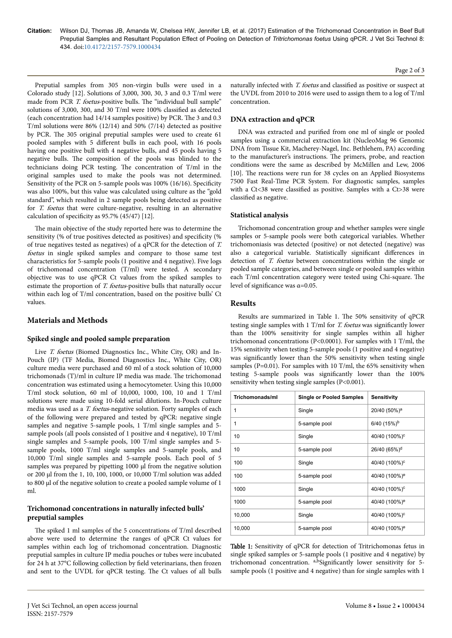**Citation:** Wilson DJ, Thomas JB, Amanda W, Chelsea HW, Jennifer LB, et al. (2017) Estimation of the Trichomonad Concentration in Beef Bull Preputial Samples and Resultant Population Effect of Pooling on Detection of *Tritrichomonas foetus* Using qPCR. J Vet Sci Technol 8: 434. doi:10.4172/2157-7579.1000434

Preputial samples from 305 non-virgin bulls were used in a Colorado study [12]. Solutions of 3,000, 300, 30, 3 and 0.3 T/ml were made from PCR T. foetus-positive bulls. The "individual bull sample" solutions of 3,000, 300, and 30 T/ml were 100% classified as detected (each concentration had 14/14 samples positive) by PCR. Нe 3 and 0.3 T/ml solutions were 86% (12/14) and 50% (7/14) detected as positive by PCR. Нe 305 original preputial samples were used to create 61 pooled samples with 5 different bulls in each pool, with 16 pools having one positive bull with 4 negative bulls, and 45 pools having 5 negative bulls. Нe composition of the pools was blinded to the technicians doing PCR testing. Нe concentration of T/ml in the original samples used to make the pools was not determined. Sensitivity of the PCR on 5-sample pools was 100% (16/16). Specificity was also 100%, but this value was calculated using culture as the "gold standard", which resulted in 2 sample pools being detected as positive for T. foetus that were culture-negative, resulting in an alternative calculation of specificity as  $95.7\%$  (45/47) [12].

The main objective of the study reported here was to determine the sensitivity (% of true positives detected as positives) and specificity (% of true negatives tested as negatives) of a qPCR for the detection of T. foetus in single spiked samples and compare to those same test characteristics for 5-sample pools (1 positive and 4 negative). Five logs of trichomonad concentration (T/ml) were tested. A secondary objective was to use qPCR Ct values from the spiked samples to estimate the proportion of T. foetus-positive bulls that naturally occur within each log of T/ml concentration, based on the positive bulls' Ct values.

#### **Materials and Methods**

#### **Spiked single and pooled sample preparation**

Live T. foetus (Biomed Diagnostics Inc., White City, OR) and In-Pouch (IP) (TF Media, Biomed Diagnostics Inc., White City, OR) culture media were purchased and 60 ml of a stock solution of 10,000 trichomonads (T)/ml in culture IP media was made. Нe trichomonad concentration was estimated using a hemocytometer. Using this 10,000 T/ml stock solution, 60 ml of 10,000, 1000, 100, 10 and 1 T/ml solutions were made using 10-fold serial dilutions. In-Pouch culture media was used as a T. foetus-negative solution. Forty samples of each of the following were prepared and tested by qPCR: negative single samples and negative 5-sample pools, 1 T/ml single samples and 5 sample pools (all pools consisted of 1 positive and 4 negative), 10 T/ml single samples and 5-sample pools, 100 T/ml single samples and 5 sample pools, 1000 T/ml single samples and 5-sample pools, and 10,000 T/ml single samples and 5-sample pools. Each pool of 5 samples was prepared by pipetting 1000 µl from the negative solution or 200 µl from the 1, 10, 100, 1000, or 10,000 T/ml solution was added to 800 µl of the negative solution to create a pooled sample volume of 1 ml.

## **Trichomonad concentrations in naturally infected bulls' preputial samples**

The spiked 1 ml samples of the 5 concentrations of T/ml described above were used to determine the ranges of qPCR Ct values for samples within each log of trichomonad concentration. Diagnostic preputial samples in culture IP media pouches or tubes were incubated for 24 h at 37°C following collection by field veterinarians, then frozen and sent to the UVDL for qPCR testing. Нe Ct values of all bulls

naturally infected with T. foetus and classified as positive or suspect at the UVDL from 2010 to 2016 were used to assign them to a log of T/ml concentration.

## **DNA extraction and qPCR**

DNA was extracted and purified from one ml of single or pooled samples using a commercial extraction kit (NucleoMag 96 Genomic DNA from Tissue Kit, Macherey-Nagel, Inc. Bethlehem, PA) according to the manufacturer's instructions. Нe primers, probe, and reaction conditions were the same as described by McMillen and Lew, 2006 [10]. Нe reactions were run for 38 cycles on an Applied Biosystems 7500 Fast Real-Time PCR System. For diagnostic samples, samples with a Ct<38 were classified as positive. Samples with a Ct>38 were classified as negative.

#### **Statistical analysis**

Trichomonad concentration group and whether samples were single samples or 5-sample pools were both categorical variables. Whether trichomoniasis was detected (positive) or not detected (negative) was also a categorical variable. Statistically significant differences in detection of *T. foetus* between concentrations within the single or pooled sample categories, and between single or pooled samples within each T/ml concentration category were tested using Chi-square. The level of significance was  $\alpha$ =0.05.

#### **Results**

Results are summarized in Table 1. Нe 50% sensitivity of qPCR testing single samples with  $1$  T/ml for *T. foetus* was significantly lower than the 100% sensitivity for single samples within all higher trichomonad concentrations (P<0.0001). For samples with 1 T/ml, the 15% sensitivity when testing 5-sample pools (1 positive and 4 negative) was significantly lower than the 50% sensitivity when testing single samples (P=0.01). For samples with 10 T/ml, the 65% sensitivity when testing 5-sample pools was significantly lower than the 100% sensitivity when testing single samples (P<0.001).

| Trichomonads/ml | <b>Single or Pooled Samples</b> | Sensitivity               |
|-----------------|---------------------------------|---------------------------|
| 1               | Single                          | 20/40 (50%) <sup>a</sup>  |
| 1               | 5-sample pool                   | $6/40$ (15%) <sup>b</sup> |
| 10              | Single                          | 40/40 (100%) <sup>c</sup> |
| 10              | 5-sample pool                   | 26/40 (65%) <sup>d</sup>  |
| 100             | Single                          | 40/40 (100%) <sup>c</sup> |
| 100             | 5-sample pool                   | 40/40 (100%) <sup>e</sup> |
| 1000            | Single                          | 40/40 (100%) <sup>c</sup> |
| 1000            | 5-sample pool                   | 40/40 (100%) <sup>e</sup> |
| 10,000          | Single                          | 40/40 (100%) <sup>c</sup> |
| 10,000          | 5-sample pool                   | 40/40 (100%) <sup>e</sup> |

Table 1: Sensitivity of qPCR for detection of Tritrichomonas fetus in single spiked samples or 5-sample pools (1 positive and 4 negative) by trichomonad concentration.  $a, b$ Significantly lower sensitivity for 5sample pools (1 positive and 4 negative) than for single samples with 1